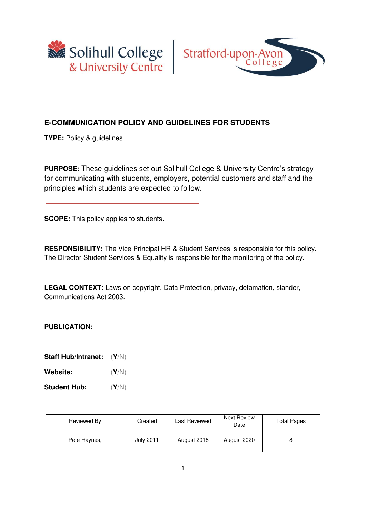



#### **E-COMMUNICATION POLICY AND GUIDELINES FOR STUDENTS**

**TYPE:** Policy & guidelines

**PURPOSE:** These guidelines set out Solihull College & University Centre's strategy for communicating with students, employers, potential customers and staff and the principles which students are expected to follow.

**SCOPE:** This policy applies to students.

**RESPONSIBILITY:** The Vice Principal HR & Student Services is responsible for this policy. The Director Student Services & Equality is responsible for the monitoring of the policy.

**LEGAL CONTEXT:** Laws on copyright, Data Protection, privacy, defamation, slander, Communications Act 2003.

#### **PUBLICATION:**

**Staff Hub/Intranet:** (**Y**/N)

**Website:** (**Y**/N)

**Student Hub:** (**Y**/N)

| Reviewed By  | Created          | Last Reviewed | <b>Next Review</b><br>Date | <b>Total Pages</b> |
|--------------|------------------|---------------|----------------------------|--------------------|
| Pete Haynes, | <b>July 2011</b> | August 2018   | August 2020                |                    |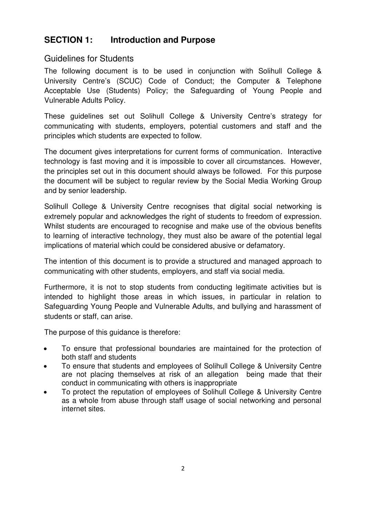## **SECTION 1: Introduction and Purpose**

### Guidelines for Students

The following document is to be used in conjunction with Solihull College & University Centre's (SCUC) Code of Conduct; the Computer & Telephone Acceptable Use (Students) Policy; the Safeguarding of Young People and Vulnerable Adults Policy.

These guidelines set out Solihull College & University Centre's strategy for communicating with students, employers, potential customers and staff and the principles which students are expected to follow.

The document gives interpretations for current forms of communication. Interactive technology is fast moving and it is impossible to cover all circumstances. However, the principles set out in this document should always be followed. For this purpose the document will be subject to regular review by the Social Media Working Group and by senior leadership.

Solihull College & University Centre recognises that digital social networking is extremely popular and acknowledges the right of students to freedom of expression. Whilst students are encouraged to recognise and make use of the obvious benefits to learning of interactive technology, they must also be aware of the potential legal implications of material which could be considered abusive or defamatory.

The intention of this document is to provide a structured and managed approach to communicating with other students, employers, and staff via social media.

Furthermore, it is not to stop students from conducting legitimate activities but is intended to highlight those areas in which issues, in particular in relation to Safeguarding Young People and Vulnerable Adults, and bullying and harassment of students or staff, can arise.

The purpose of this guidance is therefore:

- To ensure that professional boundaries are maintained for the protection of both staff and students
- To ensure that students and employees of Solihull College & University Centre are not placing themselves at risk of an allegation being made that their conduct in communicating with others is inappropriate
- To protect the reputation of employees of Solihull College & University Centre as a whole from abuse through staff usage of social networking and personal internet sites.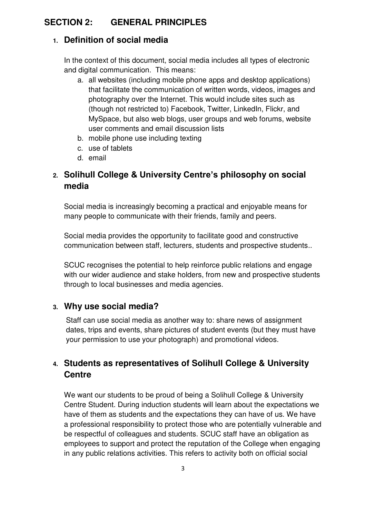## **SECTION 2: GENERAL PRINCIPLES**

### **1. Definition of social media**

In the context of this document, social media includes all types of electronic and digital communication. This means:

- a. all websites (including mobile phone apps and desktop applications) that facilitate the communication of written words, videos, images and photography over the Internet. This would include sites such as (though not restricted to) Facebook, Twitter, LinkedIn, Flickr, and MySpace, but also web blogs, user groups and web forums, website user comments and email discussion lists
- b. mobile phone use including texting
- c. use of tablets
- d. email

# **2. Solihull College & University Centre's philosophy on social media**

Social media is increasingly becoming a practical and enjoyable means for many people to communicate with their friends, family and peers.

Social media provides the opportunity to facilitate good and constructive communication between staff, lecturers, students and prospective students..

SCUC recognises the potential to help reinforce public relations and engage with our wider audience and stake holders, from new and prospective students through to local businesses and media agencies.

## **3. Why use social media?**

Staff can use social media as another way to: share news of assignment dates, trips and events, share pictures of student events (but they must have your permission to use your photograph) and promotional videos.

# **4. Students as representatives of Solihull College & University Centre**

We want our students to be proud of being a Solihull College & University Centre Student. During induction students will learn about the expectations we have of them as students and the expectations they can have of us. We have a professional responsibility to protect those who are potentially vulnerable and be respectful of colleagues and students. SCUC staff have an obligation as employees to support and protect the reputation of the College when engaging in any public relations activities. This refers to activity both on official social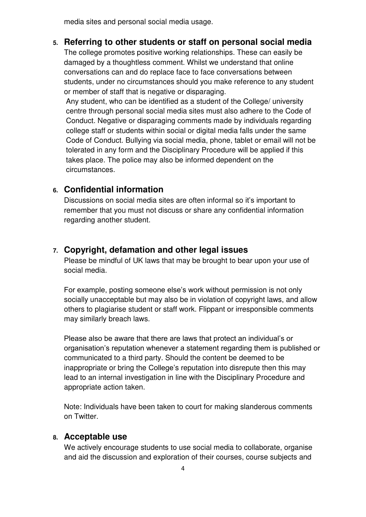media sites and personal social media usage.

### **5. Referring to other students or staff on personal social media**

The college promotes positive working relationships. These can easily be damaged by a thoughtless comment. Whilst we understand that online conversations can and do replace face to face conversations between students, under no circumstances should you make reference to any student or member of staff that is negative or disparaging.

Any student, who can be identified as a student of the College/ university centre through personal social media sites must also adhere to the Code of Conduct. Negative or disparaging comments made by individuals regarding college staff or students within social or digital media falls under the same Code of Conduct. Bullying via social media, phone, tablet or email will not be tolerated in any form and the Disciplinary Procedure will be applied if this takes place. The police may also be informed dependent on the circumstances.

### **6. Confidential information**

Discussions on social media sites are often informal so it's important to remember that you must not discuss or share any confidential information regarding another student.

### **7. Copyright, defamation and other legal issues**

Please be mindful of UK laws that may be brought to bear upon your use of social media.

For example, posting someone else's work without permission is not only socially unacceptable but may also be in violation of copyright laws, and allow others to plagiarise student or staff work. Flippant or irresponsible comments may similarly breach laws.

Please also be aware that there are laws that protect an individual's or organisation's reputation whenever a statement regarding them is published or communicated to a third party. Should the content be deemed to be inappropriate or bring the College's reputation into disrepute then this may lead to an internal investigation in line with the Disciplinary Procedure and appropriate action taken.

Note: Individuals have been taken to court for making slanderous comments on Twitter.

### **8. Acceptable use**

We actively encourage students to use social media to collaborate, organise and aid the discussion and exploration of their courses, course subjects and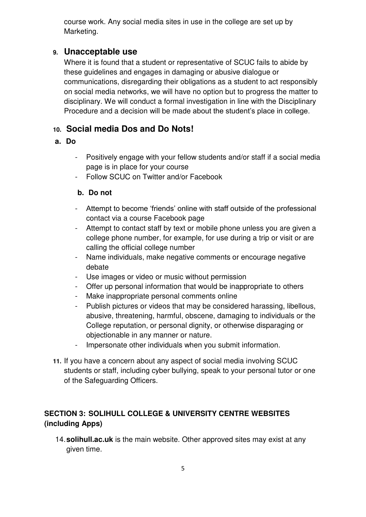course work. Any social media sites in use in the college are set up by Marketing.

### **9. Unacceptable use**

Where it is found that a student or representative of SCUC fails to abide by these guidelines and engages in damaging or abusive dialogue or communications, disregarding their obligations as a student to act responsibly on social media networks, we will have no option but to progress the matter to disciplinary. We will conduct a formal investigation in line with the Disciplinary Procedure and a decision will be made about the student's place in college.

## **10. Social media Dos and Do Nots!**

### **a. Do**

- Positively engage with your fellow students and/or staff if a social media page is in place for your course
- Follow SCUC on Twitter and/or Facebook

### **b. Do not**

- Attempt to become 'friends' online with staff outside of the professional contact via a course Facebook page
- Attempt to contact staff by text or mobile phone unless you are given a college phone number, for example, for use during a trip or visit or are calling the official college number
- Name individuals, make negative comments or encourage negative debate
- Use images or video or music without permission
- Offer up personal information that would be inappropriate to others
- Make inappropriate personal comments online
- Publish pictures or videos that may be considered harassing, libellous, abusive, threatening, harmful, obscene, damaging to individuals or the College reputation, or personal dignity, or otherwise disparaging or objectionable in any manner or nature.
- Impersonate other individuals when you submit information.
- **11.** If you have a concern about any aspect of social media involving SCUC students or staff, including cyber bullying, speak to your personal tutor or one of the Safeguarding Officers.

### **SECTION 3: SOLIHULL COLLEGE & UNIVERSITY CENTRE WEBSITES (including Apps)**

14.**solihull.ac.uk** is the main website. Other approved sites may exist at any given time.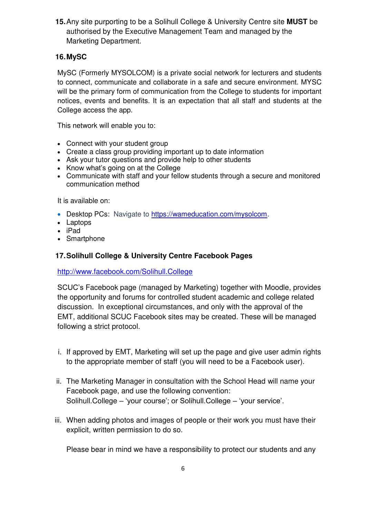**15.**Any site purporting to be a Solihull College & University Centre site **MUST** be authorised by the Executive Management Team and managed by the Marketing Department.

### **16. MySC**

MySC (Formerly MYSOLCOM) is a private social network for lecturers and students to connect, communicate and collaborate in a safe and secure environment. MYSC will be the primary form of communication from the College to students for important notices, events and benefits. It is an expectation that all staff and students at the College access the app.

This network will enable you to:

- Connect with your student group
- Create a class group providing important up to date information
- Ask your tutor questions and provide help to other students
- Know what's going on at the College
- Communicate with staff and your fellow students through a secure and monitored communication method

It is available on:

- Desktop PCs: Navigate to [https://wameducation.com/mysolcom.](https://wameducation.com/mysolcom)
- Laptops
- iPad
- Smartphone

#### **17. Solihull College & University Centre Facebook Pages**

<http://www.facebook.com/Solihull.College>

SCUC's Facebook page (managed by Marketing) together with Moodle, provides the opportunity and forums for controlled student academic and college related discussion. In exceptional circumstances, and only with the approval of the EMT, additional SCUC Facebook sites may be created. These will be managed following a strict protocol.

- i. If approved by EMT, Marketing will set up the page and give user admin rights to the appropriate member of staff (you will need to be a Facebook user).
- ii. The Marketing Manager in consultation with the School Head will name your Facebook page, and use the following convention: Solihull.College – 'your course'; or Solihull.College – 'your service'.
- iii. When adding photos and images of people or their work you must have their explicit, written permission to do so.

Please bear in mind we have a responsibility to protect our students and any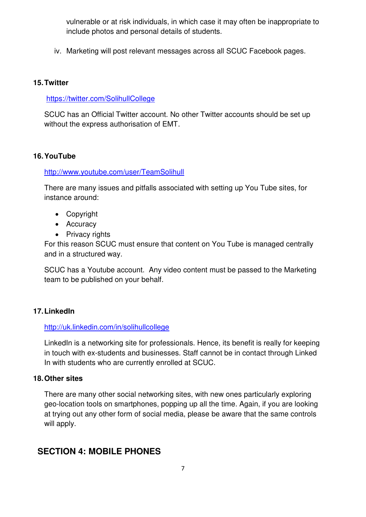vulnerable or at risk individuals, in which case it may often be inappropriate to include photos and personal details of students.

iv. Marketing will post relevant messages across all SCUC Facebook pages.

#### **15. Twitter**

#### <https://twitter.com/SolihullCollege>

SCUC has an Official Twitter account. No other Twitter accounts should be set up without the express authorisation of EMT.

### **16. YouTube**

#### <http://www.youtube.com/user/TeamSolihull>

There are many issues and pitfalls associated with setting up You Tube sites, for instance around:

- Copyright
- Accuracy
- Privacy rights

For this reason SCUC must ensure that content on You Tube is managed centrally and in a structured way.

SCUC has a Youtube account. Any video content must be passed to the Marketing team to be published on your behalf.

### **17. LinkedIn**

#### <http://uk.linkedin.com/in/solihullcollege>

LinkedIn is a networking site for professionals. Hence, its benefit is really for keeping in touch with ex-students and businesses. Staff cannot be in contact through Linked In with students who are currently enrolled at SCUC.

#### **18. Other sites**

There are many other social networking sites, with new ones particularly exploring geo-location tools on smartphones, popping up all the time. Again, if you are looking at trying out any other form of social media, please be aware that the same controls will apply.

## **SECTION 4: MOBILE PHONES**